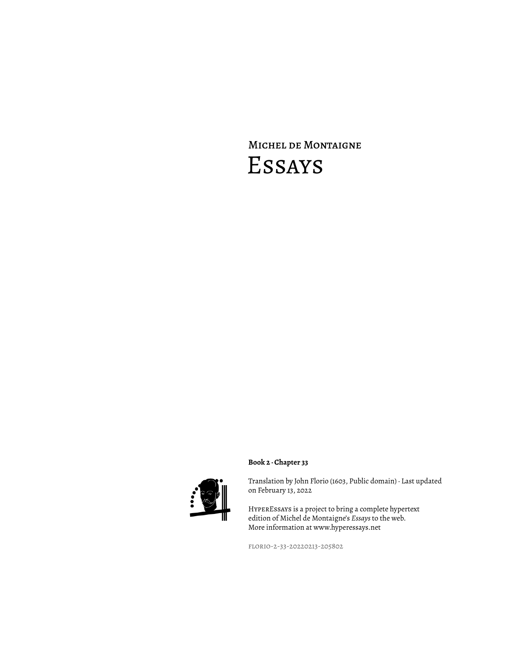# Michel de Montaigne Essays



Translation by John Florio (1603, Public domain) · Last updated on February 13, 2022

HyperEssays is a project to bring a complete hypertext edition of Michel de Montaigne's *Essays* to the web. More information at www.hyperessays.net

florio-2-33-20220213-205802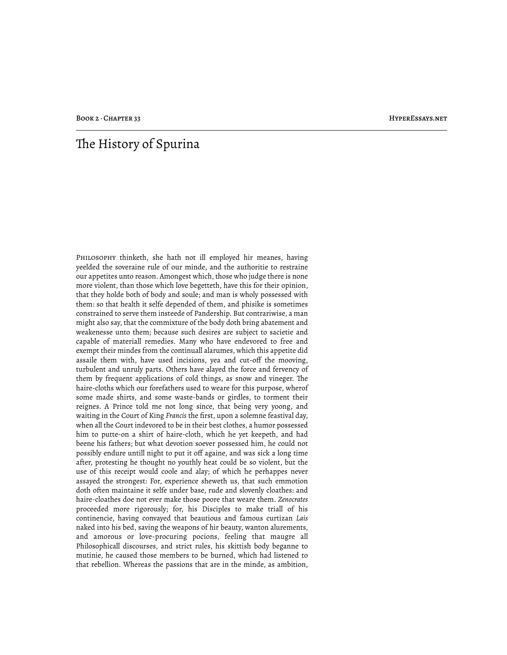## The History of Spurina

Philosophy thinketh, she hath not ill employed hir meanes, having yeelded the soveraine rule of our minde, and the authoritie to restraine our appetites unto reason. Amongest which, those who judge there is none more violent, than those which love begetteth, have this for their opinion, that they holde both of body and soule; and man is wholy possessed with them: so that health it selfe depended of them, and phisike is sometimes constrained to serve them insteede of Pandership. But contrariwise, a man might also say, that the commixture of the body doth bring abatement and weakenesse unto them; because such desires are subject to sacietie and capable of materiall remedies. Many who have endevored to free and exempt their mindes from the continuall alarumes, which this appetite did assaile them with, have used incisions, yea and cut-off the mooving, turbulent and unruly parts. Others have alayed the force and fervency of them by frequent applications of cold things, as snow and vineger. The haire-cloths which our forefathers used to weare for this purpose, wherof some made shirts, and some waste-bands or girdles, to torment their reignes. A Prince told me not long since, that being very yoong, and waiting in the Court of King *Francis* the first, upon a solemne feastival day, when all the Court indevored to be in their best clothes, a humor possessed him to putte-on a shirt of haire-cloth, which he yet keepeth, and had beene his fathers; but what devotion soever possessed him, he could not possibly endure untill night to put it off againe, and was sick a long time after, protesting he thought no youthly heat could be so violent, but the use of this receipt would coole and alay; of which he perhappes never assayed the strongest: For, experience sheweth us, that such emmotion doth often maintaine it selfe under base, rude and slovenly cloathes: and haire-cloathes doe not ever make those poore that weare them. *Zenocrates* proceeded more rigorously; for, his Disciples to make triall of his continencie, having convayed that beautious and famous curtizan *Lais* naked into his bed, saving the weapons of hir beauty, wanton alurements, and amorous or love-procuring pocions, feeling that maugre all Philosophicall discourses, and strict rules, his skittish body beganne to mutinie, he caused those members to be burned, which had listened to that rebellion. Whereas the passions that are in the minde, as ambition,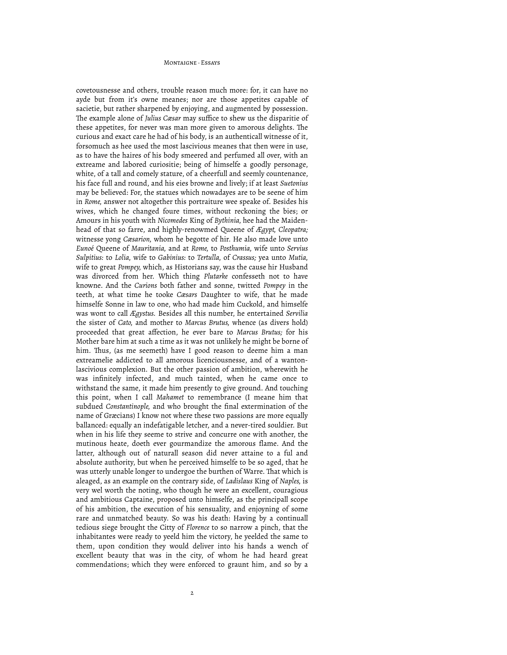#### MONTAIGNE · ESSAVE

covetousnesse and others, trouble reason much more: for, it can have no ayde but from it's owne meanes; nor are those appetites capable of sacietie, but rather sharpened by enjoying, and augmented by possession. The example alone of *Julius Cæsar* may suffice to shew us the disparitie of these appetites, for never was man more given to amorous delights. The curious and exact care he had of his body, is an authenticall witnesse of it, forsomuch as hee used the most lascivious meanes that then were in use, as to have the haires of his body smeered and perfumed all over, with an extreame and labored curiositie; being of himselfe a goodly personage, white, of a tall and comely stature, of a cheerfull and seemly countenance, his face full and round, and his eies browne and lively; if at least *Suetonius* may be believed: For, the statues which nowadayes are to be seene of him in *Rome,* answer not altogether this portraiture wee speake of. Besides his wives, which he changed foure times, without reckoning the bies; or Amours in his youth with *Nicomedes* King of *Bythinia,* hee had the Maidenhead of that so farre, and highly-renowmed Queene of *Ægypt, Cleopatra;* witnesse yong *Cæsarion,* whom he begotte of hir. He also made love unto *Eunoé* Queene of *Mauritania,* and at *Rome,* to *Posthumia,* wife unto *Servius Sulpitius:* to *Lolia,* wife to *Gabinius:* to *Tertulla,* of *Crassus;* yea unto *Mutia,* wife to great *Pompey,* which, as Historians say, was the cause hir Husband was divorced from her. Which thing *Plutarke* confesseth not to have knowne. And the *Curions* both father and sonne, twitted *Pompey* in the teeth, at what time he tooke *Cæsars* Daughter to wife, that he made himselfe Sonne in law to one, who had made him Cuckold, and himselfe was wont to call *Ægystus.* Besides all this number, he entertained *Servilia* the sister of *Cato,* and mother to *Marcus Brutus,* whence (as divers hold) proceeded that great affection, he ever bare to *Marcus Brutus;* for his Mother bare him at such a time as it was not unlikely he might be borne of him. Thus, (as me seemeth) have I good reason to deeme him a man extreamelie addicted to all amorous licenciousnesse, and of a wantonlascivious complexion. But the other passion of ambition, wherewith he was infinitely infected, and much tainted, when he came once to withstand the same, it made him presently to give ground. And touching this point, when I call *Mahamet* to remembrance (I meane him that subdued *Constantinople,* and who brought the final extermination of the name of Græcians) I know not where these two passions are more equally ballanced: equally an indefatigable letcher, and a never-tired souldier. But when in his life they seeme to strive and concurre one with another, the mutinous heate, doeth ever gourmandize the amorous flame. And the latter, although out of naturall season did never attaine to a ful and absolute authority, but when he perceived himselfe to be so aged, that he was utterly unable longer to undergoe the burthen of Warre. That which is aleaged, as an example on the contrary side, of *Ladislaus* King of *Naples,* is very wel worth the noting, who though he were an excellent, couragious and ambitious Captaine, proposed unto himselfe, as the principall scope of his ambition, the execution of his sensuality, and enjoyning of some rare and unmatched beauty. So was his death: Having by a continuall tedious siege brought the Citty of *Florence* to so narrow a pinch, that the inhabitantes were ready to yeeld him the victory, he yeelded the same to them, upon condition they would deliver into his hands a wench of excellent beauty that was in the city, of whom he had heard great commendations; which they were enforced to graunt him, and so by a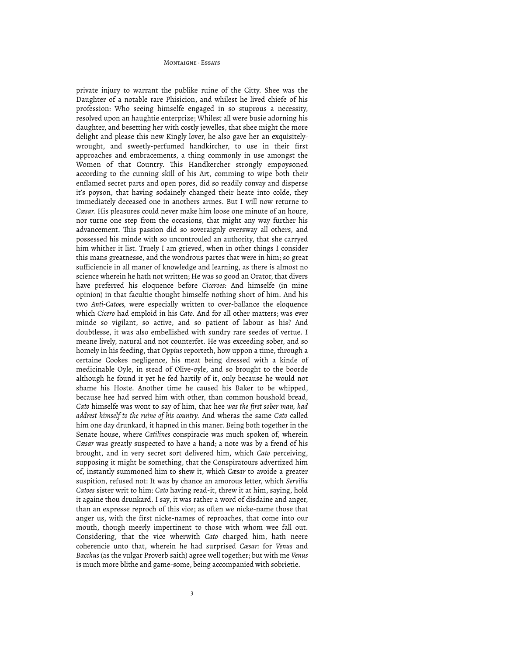#### MONTAIGNE · FESAVE

private injury to warrant the publike ruine of the Citty. Shee was the Daughter of a notable rare Phisicion, and whilest he lived chiefe of his profession: Who seeing himselfe engaged in so stuprous a necessity, resolved upon an haughtie enterprize; Whilest all were busie adorning his daughter, and besetting her with costly jewelles, that shee might the more delight and please this new Kingly lover, he also gave her an exquisitelywrought, and sweetly-perfumed handkircher, to use in their first approaches and embracements, a thing commonly in use amongst the Women of that Country. This Handkercher strongly empoysoned according to the cunning skill of his Art, comming to wipe both their enflamed secret parts and open pores, did so readily convay and disperse it's poyson, that having sodainely changed their heate into colde, they immediately deceased one in anothers armes. But I will now returne to *Cæsar.* His pleasures could never make him loose one minute of an houre, nor turne one step from the occasions, that might any way further his advancement. This passion did so soveraignly oversway all others, and possessed his minde with so uncontrouled an authority, that she carryed him whither it list. Truely I am grieved, when in other things I consider this mans greatnesse, and the wondrous partes that were in him; so great sufficiencie in all maner of knowledge and learning, as there is almost no science wherein he hath not written; He was so good an Orator, that divers have preferred his eloquence before *Ciceroes:* And himselfe (in mine opinion) in that facultie thought himselfe nothing short of him. And his two *Anti-Catoes,* were especially written to over-ballance the eloquence which *Cicero* had emploid in his *Cato.* And for all other matters; was ever minde so vigilant, so active, and so patient of labour as his? And doubtlesse, it was also embellished with sundry rare seedes of vertue. I meane lively, natural and not counterfet. He was exceeding sober, and so homely in his feeding, that *Oppius* reporteth, how uppon a time, through a certaine Cookes negligence, his meat being dressed with a kinde of medicinable Oyle, in stead of Olive-oyle, and so brought to the boorde although he found it yet he fed hartily of it, only because he would not shame his Hoste. Another time he caused his Baker to be whipped, because hee had served him with other, than common houshold bread, *Cato* himselfe was wont to say of him, that hee *was the first sober man, had addrest himself to the ruine of his country.* And wheras the same *Cato* called him one day drunkard, it hapned in this maner. Being both together in the Senate house, where *Catilines* conspiracie was much spoken of, wherein *Cæsar* was greatly suspected to have a hand; a note was by a frend of his brought, and in very secret sort delivered him, which *Cato* perceiving, supposing it might be something, that the Conspiratours advertized him of, instantly summoned him to shew it, which *Cæsar* to avoide a greater suspition, refused not: It was by chance an amorous letter, which *Servilia Catoes* sister writ to him: *Cato* having read-it, threw it at him, saying, hold it againe thou drunkard. I say, it was rather a word of disdaine and anger, than an expresse reproch of this vice; as often we nicke-name those that anger us, with the first nicke-names of reproaches, that come into our mouth, though meerly impertinent to those with whom wee fall out. Considering, that the vice wherwith *Cato* charged him, hath neere coherencie unto that, wherein he had surprised *Cæsar:* for *Venus* and *Bacchus* (as the vulgar Proverb saith) agree well together; but with me *Venus* is much more blithe and game-some, being accompanied with sobrietie.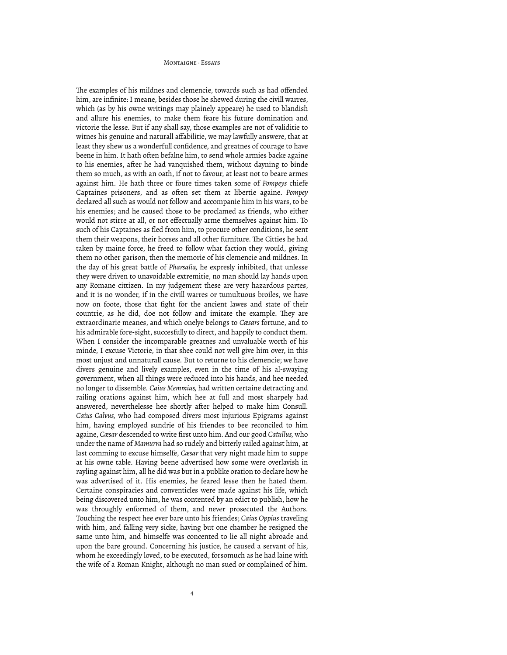#### MONTAIGNE, Feeave

The examples of his mildnes and clemencie, towards such as had offended him, are infinite: I meane, besides those he shewed during the civill warres, which (as by his owne writings may plainely appeare) he used to blandish and allure his enemies, to make them feare his future domination and victorie the lesse. But if any shall say, those examples are not of validitie to witnes his genuine and naturall affabilitie, we may lawfully answere, that at least they shew us a wonderfull confidence, and greatnes of courage to have beene in him. It hath often befalne him, to send whole armies backe againe to his enemies, after he had vanquished them, without dayning to binde them so much, as with an oath, if not to favour, at least not to beare armes against him. He hath three or foure times taken some of *Pompeys* chiefe Captaines prisoners, and as often set them at libertie againe. *Pompey* declared all such as would not follow and accompanie him in his wars, to be his enemies; and he caused those to be proclamed as friends, who either would not stirre at all, or not effectually arme themselves against him. To such of his Captaines as fled from him, to procure other conditions, he sent them their weapons, their horses and all other furniture. The Citties he had taken by maine force, he freed to follow what faction they would, giving them no other garison, then the memorie of his clemencie and mildnes. In the day of his great battle of *Pharsalia,* he expresly inhibited, that unlesse they were driven to unavoidable extremitie, no man should lay hands upon any Romane cittizen. In my judgement these are very hazardous partes, and it is no wonder, if in the civill warres or tumultuous broiles, we have now on foote, those that fight for the ancient lawes and state of their countrie, as he did, doe not follow and imitate the example. They are extraordinarie meanes, and which onelye belongs to *Cæsars* fortune, and to his admirable fore-sight, succesfully to direct, and happily to conduct them. When I consider the incomparable greatnes and unvaluable worth of his minde, I excuse Victorie, in that shee could not well give him over, in this most unjust and unnaturall cause. But to returne to his clemencie; we have divers genuine and lively examples, even in the time of his al-swaying government, when all things were reduced into his hands, and hee needed no longer to dissemble. *Caius Memmius,* had written certaine detracting and railing orations against him, which hee at full and most sharpely had answered, neverthelesse hee shortly after helped to make him Consull. *Caius Calvus,* who had composed divers most injurious Epigrams against him, having employed sundrie of his friendes to bee reconciled to him againe, *Cæsar* descended to write first unto him. And our good *Catullus,* who under the name of *Mamurra* had so rudely and bitterly railed against him, at last comming to excuse himselfe, *Cæsar* that very night made him to suppe at his owne table. Having beene advertised how some were overlavish in rayling against him, all he did was but in a publike oration to declare how he was advertised of it. His enemies, he feared lesse then he hated them. Certaine conspiracies and conventicles were made against his life, which being discovered unto him, he was contented by an edict to publish, how he was throughly enformed of them, and never prosecuted the Authors. Touching the respect hee ever bare unto his friendes; *Caius Oppius* traveling with him, and falling very sicke, having but one chamber he resigned the same unto him, and himselfe was concented to lie all night abroade and upon the bare ground. Concerning his justice, he caused a servant of his, whom he exceedingly loved, to be executed, forsomuch as he had laine with the wife of a Roman Knight, although no man sued or complained of him.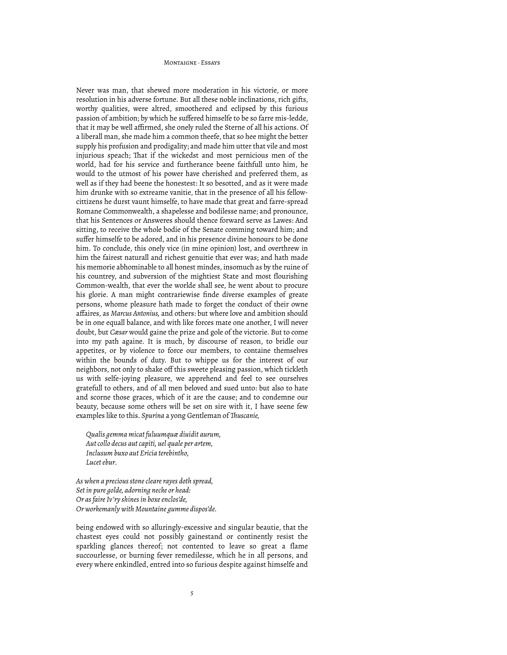#### MONTAIGNE, Feeave

Never was man, that shewed more moderation in his victorie, or more resolution in his adverse fortune. But all these noble inclinations, rich gifts, worthy qualities, were altred, smoothered and eclipsed by this furious passion of ambition; by which he suffered himselfe to be so farre mis-ledde, that it may be well affirmed, she onely ruled the Sterne of all his actions. Of a liberall man, she made him a common theefe, that so hee might the better supply his profusion and prodigality; and made him utter that vile and most injurious speach; That if the wickedst and most pernicious men of the world, had for his service and furtherance beene faithfull unto him, he would to the utmost of his power have cherished and preferred them, as well as if they had beene the honestest: It so besotted, and as it were made him drunke with so extreame vanitie, that in the presence of all his fellowcittizens he durst vaunt himselfe, to have made that great and farre-spread Romane Commonwealth, a shapelesse and bodilesse name; and pronounce, that his Sentences or Answeres should thence forward serve as Lawes: And sitting, to receive the whole bodie of the Senate comming toward him; and suffer himselfe to be adored, and in his presence divine honours to be done him. To conclude, this onely vice (in mine opinion) lost, and overthrew in him the fairest naturall and richest genuitie that ever was; and hath made his memorie abhominable to all honest mindes, insomuch as by the ruine of his countrey, and subversion of the mightiest State and most flourishing Common-wealth, that ever the worlde shall see, he went about to procure his glorie. A man might contrariewise finde diverse examples of greate persons, whome pleasure hath made to forget the conduct of their owne affaires, as *Marcus Antonius,* and others: but where love and ambition should be in one equall balance, and with like forces mate one another, I will never doubt, but *Cæsar* would gaine the prize and gole of the victorie. But to come into my path againe. It is much, by discourse of reason, to bridle our appetites, or by violence to force our members, to containe themselves within the bounds of duty. But to whippe us for the interest of our neighbors, not only to shake off this sweete pleasing passion, which tickleth us with selfe-joying pleasure, we apprehend and feel to see ourselves gratefull to others, and of all men beloved and sued unto: but also to hate and scorne those graces, which of it are the cause; and to condemne our beauty, because some others will be set on sire with it, I have seene few examples like to this. *Spurina* a yong Gentleman of *!uscanie,*

*Qualis gemma micat fuluumquæ diuidit aurum, Aut collo decus aut capiti, uel quale per artem, Inclusum buxo aut Ericia terebintho, Lucet ebur.*

*As when a precious stone cleare rayes doth spread, Set in pure golde, adorning necke or head: Or as faire Iv'ry shines in boxe enclos'de, Or workemanly with Mountaine gumme dispos'de.*

being endowed with so alluringly-excessive and singular beautie, that the chastest eyes could not possibly gainestand or continently resist the sparkling glances thereof; not contented to leave so great a flame succourlesse, or burning fever remedilesse, which he in all persons, and every where enkindled, entred into so furious despite against himselfe and